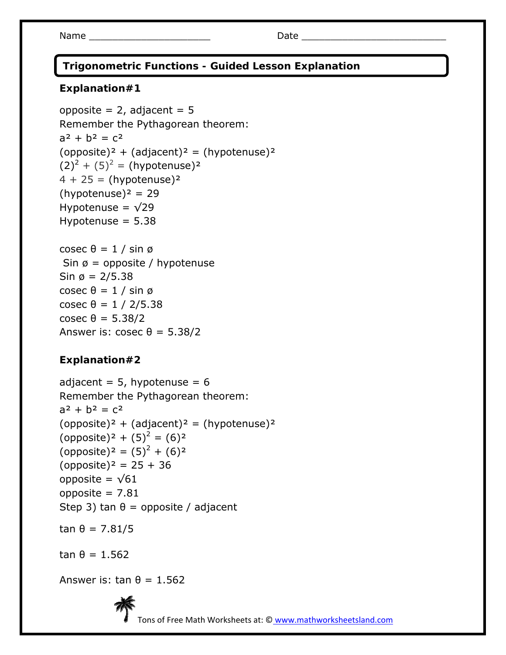Name \_\_\_\_\_\_\_\_\_\_\_\_\_\_\_\_\_\_\_\_\_ Date \_\_\_\_\_\_\_\_\_\_\_\_\_\_\_\_\_\_\_\_\_\_\_\_\_

 **Trigonometric Functions - Guided Lesson Explanation** 

## **Explanation#1**

```
opposite = 2, adjacent = 5Remember the Pythagorean theorem: 
a^2 + b^2 = c^2(opposite)<sup>2</sup> + (adjacent)<sup>2</sup> = (hypotenuse)<sup>2</sup>
(2)^{2} + (5)^{2} = (hypotenuse)<sup>2</sup>
4 + 25 = (hypotenuse)<sup>2</sup>
(hypotenuse)<sup>2</sup> = 29</sup>
Hypotenuse = \sqrt{29}Hypotenuse = 5.38cosec θ = 1 / sin φSin \emptyset = opposite / hypotenuse
Sin \varnothing = 2/5.38
cosec θ = 1 / sin φcosec θ = 1 / 2/5.38cosec θ = 5.38/2 
Answer is: \csc \theta = 5.38/2
```
# **Explanation#2**

adjacent =  $5$ , hypotenuse =  $6$ Remember the Pythagorean theorem:  $a^2 + b^2 = c^2$  $opposite)^2 + (adjacent)^2 = (hypotenuse)^2$ (opposite)<sup>2</sup> +  $(5)^2$  =  $(6)^2$ (opposite)<sup>2</sup> =  $(5)^2 + (6)^2$  $(opposite)<sup>2</sup> = 25 + 36$ opposite =  $\sqrt{61}$ opposite = 7.81 Step 3) tan  $\theta$  = opposite / adjacent

tan θ = 7.81/5

tan  $θ = 1.562$ 

Answer is: tan  $\theta = 1.562$ 



Tons of Free Math Worksheets at: © www.mathworksheetsland.com